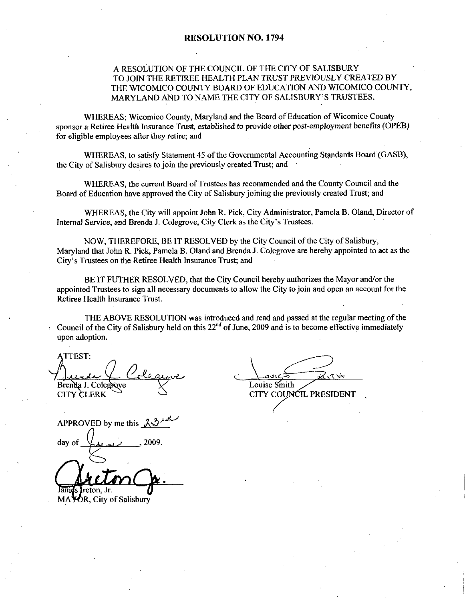## A RESOLUTION OF THE COUNCIL OF THE CITY OF SALISBURY TO JOIN THE RETIREE HEALTH PLAN TRUST PREVIOUSLY CREATED BY THE WICOMICO COUNTY BOARD OF EDUCATION AND WICOMICO COUNTY MARYLAND AND TO NAME THE CITY OF SALISBURY'S TRUSTEES.

WHEREAS; Wicomico County, Maryland and the Board of Education of Wicomico County sponsor a Retiree Health Insurance Trust, established to provide other post-employment benefits (OPEB) for eligible employees after they retire; and

WHEREAS, to satisfy Statement 45 of the Governmental Accounting Standards Board (GASB), the City of Salisbury desires to join the previously created Trust; and

WHEREAS, the current Board of Trustees has recommended and the County Council and the Board of Education have approved the City of Salisbury joining the previously created Trust; and

WHEREAS, the City will appoint John R. Pick, City Administrator, Pamela B. Oland, Director of Internal Service, and Brenda J. Colegrove, City Clerk as the City's Trustees.<br>Internal Service, and Brenda J. Colegrove, City Clerk as the City's Trustees.

NOW, THEREFORE, BE IT RESOLVED by the City Council of the City of Salisbury, Maryland that John R. Pick, Pamela B. Oland and Brenda J. Colegrove are hereby appointed to act as the NOW, THEREFORE, BE IT RESOLVED by the<br>Maryland that John R. Pick, Pamela B. Oland and Brenda<br>City's Trustees on the Retiree Health Insurance Trust; and City's Trustees on the Retiree Health Insurance Trust; and<br>BE IT FUTHER RESOLVED, that the City Council hereby authorizes the Mayor and/or the

appointed Trustees to sign all necessary documents to allowthe City to join and open an account for the Retiree Health Insurance Trust

THE ABOVE RESOLUTION was introduced and read and passed at the regular meeting of the Council of the City of Salisbury held on this  $22<sup>nd</sup>$  of June, 2009 and is to become effective immediately upon adoption

ATTEST 1 Brenda J. Colegrove CITY COUNCIL PRESIDENT ATTEST:<br>Aurel Colegrove<br>Brenda J. Colegrove<br>CITY CLERK<br>APPROVED by me this 23 und<br>day of June 2009.

Louise Smith

day of 2009

James Treton, Jr. MA POR, City of Salisbury